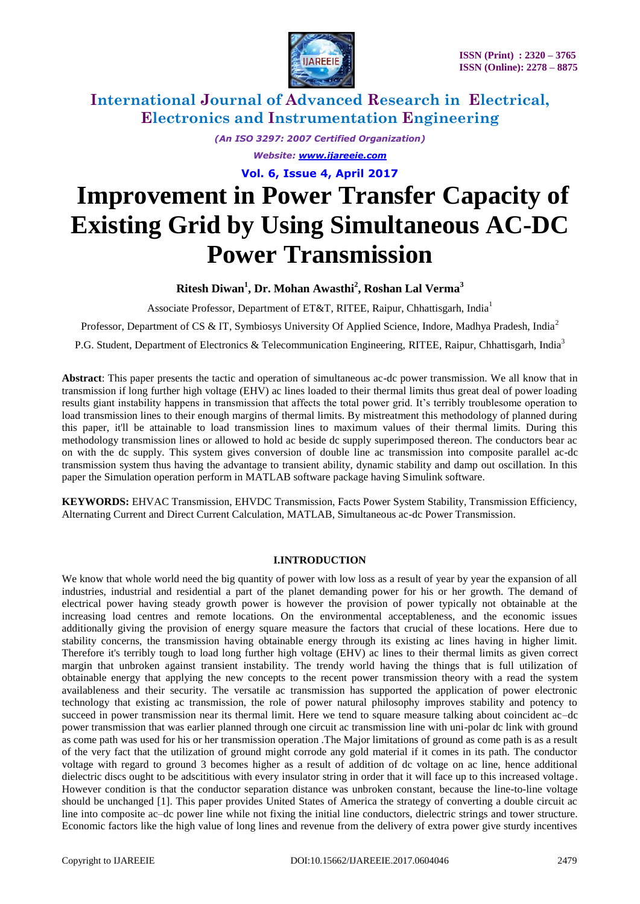

*(An ISO 3297: 2007 Certified Organization) Website: [www.ijareeie.com](http://www.ijareeie.com/)*

**Vol. 6, Issue 4, April 2017**

# **Improvement in Power Transfer Capacity of Existing Grid by Using Simultaneous AC-DC Power Transmission**

### **Ritesh Diwan<sup>1</sup> , Dr. Mohan Awasthi<sup>2</sup> , Roshan Lal Verma<sup>3</sup>**

Associate Professor, Department of ET&T, RITEE, Raipur, Chhattisgarh, India<sup>1</sup>

Professor, Department of CS & IT, Symbiosys University Of Applied Science, Indore, Madhya Pradesh, India<sup>2</sup>

P.G. Student, Department of Electronics & Telecommunication Engineering, RITEE, Raipur, Chhattisgarh, India<sup>3</sup>

**Abstract**: This paper presents the tactic and operation of simultaneous ac-dc power transmission. We all know that in transmission if long further high voltage (EHV) ac lines loaded to their thermal limits thus great deal of power loading results giant instability happens in transmission that affects the total power grid. It's terribly troublesome operation to load transmission lines to their enough margins of thermal limits. By mistreatment this methodology of planned during this paper, it'll be attainable to load transmission lines to maximum values of their thermal limits. During this methodology transmission lines or allowed to hold ac beside dc supply superimposed thereon. The conductors bear ac on with the dc supply. This system gives conversion of double line ac transmission into composite parallel ac-dc transmission system thus having the advantage to transient ability, dynamic stability and damp out oscillation. In this paper the Simulation operation perform in MATLAB software package having Simulink software.

**KEYWORDS:** EHVAC Transmission, EHVDC Transmission, Facts Power System Stability, Transmission Efficiency, Alternating Current and Direct Current Calculation, MATLAB, Simultaneous ac-dc Power Transmission.

#### **I.INTRODUCTION**

We know that whole world need the big quantity of power with low loss as a result of year by year the expansion of all industries, industrial and residential a part of the planet demanding power for his or her growth. The demand of electrical power having steady growth power is however the provision of power typically not obtainable at the increasing load centres and remote locations. On the environmental acceptableness, and the economic issues additionally giving the provision of energy square measure the factors that crucial of these locations. Here due to stability concerns, the transmission having obtainable energy through its existing ac lines having in higher limit. Therefore it's terribly tough to load long further high voltage (EHV) ac lines to their thermal limits as given correct margin that unbroken against transient instability. The trendy world having the things that is full utilization of obtainable energy that applying the new concepts to the recent power transmission theory with a read the system availableness and their security. The versatile ac transmission has supported the application of power electronic technology that existing ac transmission, the role of power natural philosophy improves stability and potency to succeed in power transmission near its thermal limit. Here we tend to square measure talking about coincident ac–dc power transmission that was earlier planned through one circuit ac transmission line with uni-polar dc link with ground as come path was used for his or her transmission operation .The Major limitations of ground as come path is as a result of the very fact that the utilization of ground might corrode any gold material if it comes in its path. The conductor voltage with regard to ground 3 becomes higher as a result of addition of dc voltage on ac line, hence additional dielectric discs ought to be adscititious with every insulator string in order that it will face up to this increased voltage. However condition is that the conductor separation distance was unbroken constant, because the line-to-line voltage should be unchanged [1]. This paper provides United States of America the strategy of converting a double circuit ac line into composite ac–dc power line while not fixing the initial line conductors, dielectric strings and tower structure. Economic factors like the high value of long lines and revenue from the delivery of extra power give sturdy incentives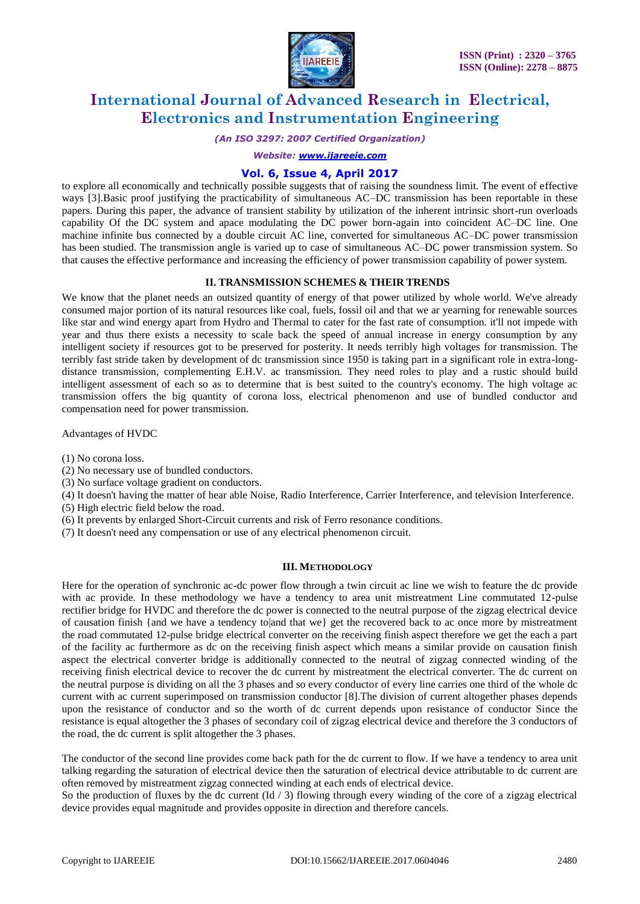

*(An ISO 3297: 2007 Certified Organization)*

*Website: [www.ijareeie.com](http://www.ijareeie.com/)*

#### **Vol. 6, Issue 4, April 2017**

to explore all economically and technically possible suggests that of raising the soundness limit. The event of effective ways [3].Basic proof justifying the practicability of simultaneous AC–DC transmission has been reportable in these papers. During this paper, the advance of transient stability by utilization of the inherent intrinsic short-run overloads capability Of the DC system and apace modulating the DC power born-again into coincident AC–DC line. One machine infinite bus connected by a double circuit AC line, converted for simultaneous AC–DC power transmission has been studied. The transmission angle is varied up to case of simultaneous AC–DC power transmission system. So that causes the effective performance and increasing the efficiency of power transmission capability of power system.

#### **II. TRANSMISSION SCHEMES & THEIR TRENDS**

We know that the planet needs an outsized quantity of energy of that power utilized by whole world. We've already consumed major portion of its natural resources like coal, fuels, fossil oil and that we ar yearning for renewable sources like star and wind energy apart from Hydro and Thermal to cater for the fast rate of consumption. it'll not impede with year and thus there exists a necessity to scale back the speed of annual increase in energy consumption by any intelligent society if resources got to be preserved for posterity. It needs terribly high voltages for transmission. The terribly fast stride taken by development of dc transmission since 1950 is taking part in a significant role in extra-longdistance transmission, complementing E.H.V. ac transmission. They need roles to play and a rustic should build intelligent assessment of each so as to determine that is best suited to the country's economy. The high voltage ac transmission offers the big quantity of corona loss, electrical phenomenon and use of bundled conductor and compensation need for power transmission.

Advantages of HVDC

- (1) No corona loss.
- (2) No necessary use of bundled conductors.
- (3) No surface voltage gradient on conductors.
- (4) It doesn't having the matter of hear able Noise, Radio Interference, Carrier Interference, and television Interference. (5) High electric field below the road.
- (6) It prevents by enlarged Short-Circuit currents and risk of Ferro resonance conditions.
- (7) It doesn't need any compensation or use of any electrical phenomenon circuit.

#### **III. METHODOLOGY**

Here for the operation of synchronic ac-dc power flow through a twin circuit ac line we wish to feature the dc provide with ac provide. In these methodology we have a tendency to area unit mistreatment Line commutated 12-pulse rectifier bridge for HVDC and therefore the dc power is connected to the neutral purpose of the zigzag electrical device of causation finish {and we have a tendency to|and that we} get the recovered back to ac once more by mistreatment the road commutated 12-pulse bridge electrical converter on the receiving finish aspect therefore we get the each a part of the facility ac furthermore as dc on the receiving finish aspect which means a similar provide on causation finish aspect the electrical converter bridge is additionally connected to the neutral of zigzag connected winding of the receiving finish electrical device to recover the dc current by mistreatment the electrical converter. The dc current on the neutral purpose is dividing on all the 3 phases and so every conductor of every line carries one third of the whole dc current with ac current superimposed on transmission conductor [8].The division of current altogether phases depends upon the resistance of conductor and so the worth of dc current depends upon resistance of conductor Since the resistance is equal altogether the 3 phases of secondary coil of zigzag electrical device and therefore the 3 conductors of the road, the dc current is split altogether the 3 phases.

The conductor of the second line provides come back path for the dc current to flow. If we have a tendency to area unit talking regarding the saturation of electrical device then the saturation of electrical device attributable to dc current are often removed by mistreatment zigzag connected winding at each ends of electrical device.

So the production of fluxes by the dc current  $(\text{Id}/3)$  flowing through every winding of the core of a zigzag electrical device provides equal magnitude and provides opposite in direction and therefore cancels.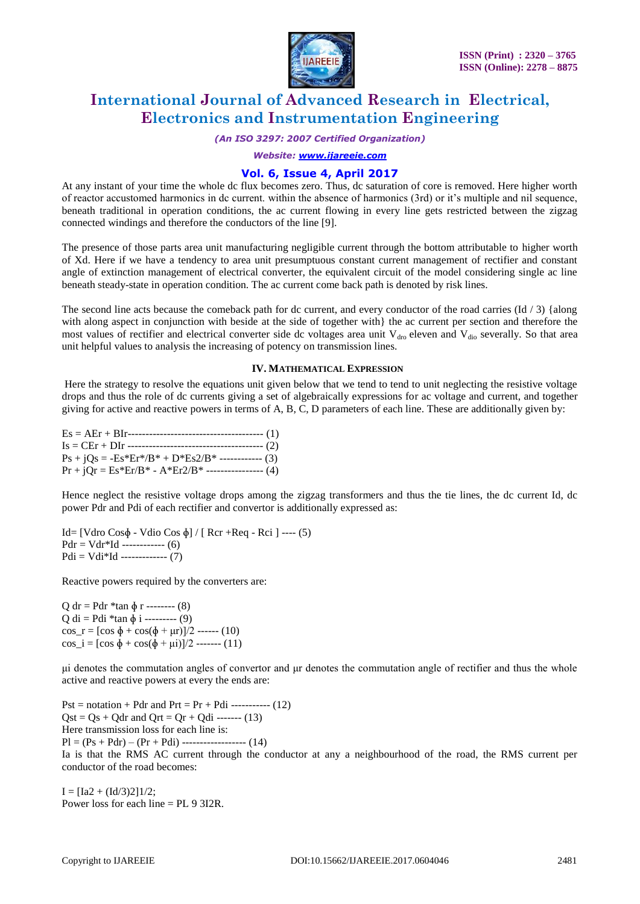

*(An ISO 3297: 2007 Certified Organization)*

*Website: [www.ijareeie.com](http://www.ijareeie.com/)*

#### **Vol. 6, Issue 4, April 2017**

At any instant of your time the whole dc flux becomes zero. Thus, dc saturation of core is removed. Here higher worth of reactor accustomed harmonics in dc current. within the absence of harmonics (3rd) or it's multiple and nil sequence, beneath traditional in operation conditions, the ac current flowing in every line gets restricted between the zigzag connected windings and therefore the conductors of the line [9].

The presence of those parts area unit manufacturing negligible current through the bottom attributable to higher worth of Xd. Here if we have a tendency to area unit presumptuous constant current management of rectifier and constant angle of extinction management of electrical converter, the equivalent circuit of the model considering single ac line beneath steady-state in operation condition. The ac current come back path is denoted by risk lines.

The second line acts because the comeback path for dc current, and every conductor of the road carries (Id / 3) {along with along aspect in conjunction with beside at the side of together with} the ac current per section and therefore the most values of rectifier and electrical converter side dc voltages area unit  $V_{\text{dro}}$  eleven and  $V_{\text{dio}}$  severally. So that area unit helpful values to analysis the increasing of potency on transmission lines.

#### **IV. MATHEMATICAL EXPRESSION**

Here the strategy to resolve the equations unit given below that we tend to tend to unit neglecting the resistive voltage drops and thus the role of dc currents giving a set of algebraically expressions for ac voltage and current, and together giving for active and reactive powers in terms of A, B, C, D parameters of each line. These are additionally given by:

| $Ps + iQs = -Es*Er* / B* + D*Es2 / B*$ ------------ (3) |  |
|---------------------------------------------------------|--|
| $Pr + jQr = Es*Er/B* - A*Er2/B* - - - - - - - - - (4)$  |  |

Hence neglect the resistive voltage drops among the zigzag transformers and thus the tie lines, the dc current Id, dc power Pdr and Pdi of each rectifier and convertor is additionally expressed as:

Id= [Vdro Cosɸ - Vdio Cos ɸ] / [ Rcr +Req - Rci ] ---- (5)  $Pdr = Vdr*Id$  ----------- (6)  $Pdi = Vdi*Id$  ------------- (7)

Reactive powers required by the converters are:

Q dr = Pdr  $*$ tan  $\phi$  r -------- (8)  $Q$  di = Pdi \*tan  $\phi$  i --------- (9) cos  $r = [\cos \phi + \cos(\phi + \mu r)]/2$  ------ (10) cos\_i = [cos  $\phi$  + cos( $\phi$  +  $\mu$ i)]/2 ------- (11)

μi denotes the commutation angles of convertor and μr denotes the commutation angle of rectifier and thus the whole active and reactive powers at every the ends are:

 $Pst = notation + Pdr$  and  $Prt = Pr + Pdi$  ----------- (12)  $Qst = Qs + Qdr$  and  $Qrt = Qr + Qdi$  ------- (13) Here transmission loss for each line is:  $PI = (Ps + Pdr) - (Pr + Pdi)$  --------------------- (14) Ia is that the RMS AC current through the conductor at any a neighbourhood of the road, the RMS current per conductor of the road becomes:

 $I = [Ia2 + (Id/3)2]1/2;$ Power loss for each line = PL 9 3I2R.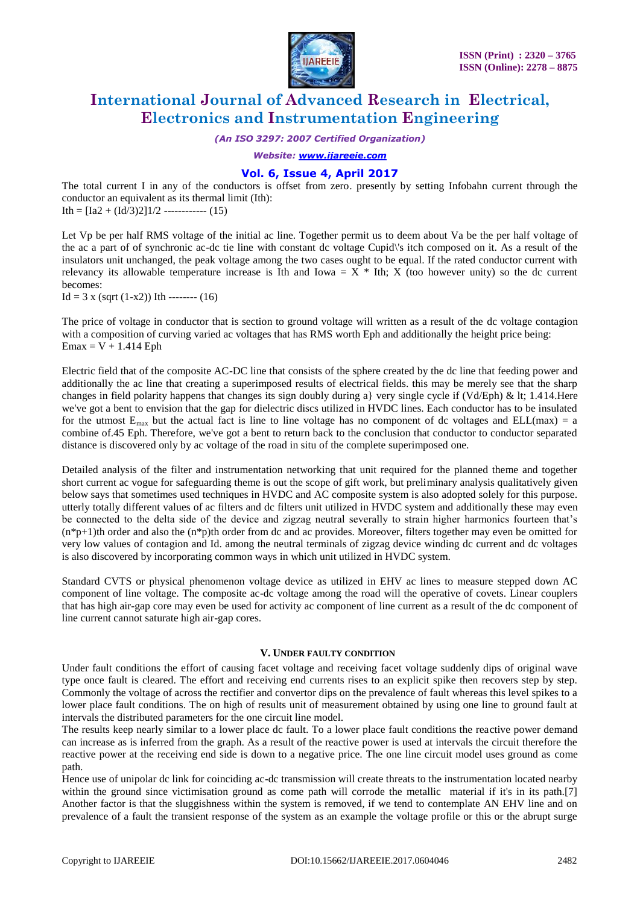

*(An ISO 3297: 2007 Certified Organization)*

*Website: [www.ijareeie.com](http://www.ijareeie.com/)*

#### **Vol. 6, Issue 4, April 2017**

The total current I in any of the conductors is offset from zero. presently by setting Infobahn current through the conductor an equivalent as its thermal limit (Ith): Ith =  $[Ia2 + (Id/3)2]1/2$  ------------ (15)

Let Vp be per half RMS voltage of the initial ac line. Together permit us to deem about Va be the per half voltage of the ac a part of of synchronic ac-dc tie line with constant dc voltage Cupid\'s itch composed on it. As a result of the insulators unit unchanged, the peak voltage among the two cases ought to be equal. If the rated conductor current with relevancy its allowable temperature increase is Ith and Iowa =  $X *$  Ith; X (too however unity) so the dc current becomes:

Id = 3 x (sqrt  $(1-x2)$ ) Ith --------  $(16)$ 

The price of voltage in conductor that is section to ground voltage will written as a result of the dc voltage contagion with a composition of curving varied ac voltages that has RMS worth Eph and additionally the height price being:  $Emax = V + 1.414$  Eph

Electric field that of the composite AC-DC line that consists of the sphere created by the dc line that feeding power and additionally the ac line that creating a superimposed results of electrical fields. this may be merely see that the sharp changes in field polarity happens that changes its sign doubly during a} very single cycle if (Vd/Eph) & lt; 1.414.Here we've got a bent to envision that the gap for dielectric discs utilized in HVDC lines. Each conductor has to be insulated for the utmost  $E_{max}$  but the actual fact is line to line voltage has no component of dc voltages and ELL(max) = a combine of.45 Eph. Therefore, we've got a bent to return back to the conclusion that conductor to conductor separated distance is discovered only by ac voltage of the road in situ of the complete superimposed one.

Detailed analysis of the filter and instrumentation networking that unit required for the planned theme and together short current ac vogue for safeguarding theme is out the scope of gift work, but preliminary analysis qualitatively given below says that sometimes used techniques in HVDC and AC composite system is also adopted solely for this purpose. utterly totally different values of ac filters and dc filters unit utilized in HVDC system and additionally these may even be connected to the delta side of the device and zigzag neutral severally to strain higher harmonics fourteen that's  $(n*p+1)$ th order and also the  $(n*p)$ th order from dc and ac provides. Moreover, filters together may even be omitted for very low values of contagion and Id. among the neutral terminals of zigzag device winding dc current and dc voltages is also discovered by incorporating common ways in which unit utilized in HVDC system.

Standard CVTS or physical phenomenon voltage device as utilized in EHV ac lines to measure stepped down AC component of line voltage. The composite ac-dc voltage among the road will the operative of covets. Linear couplers that has high air-gap core may even be used for activity ac component of line current as a result of the dc component of line current cannot saturate high air-gap cores.

#### **V. UNDER FAULTY CONDITION**

Under fault conditions the effort of causing facet voltage and receiving facet voltage suddenly dips of original wave type once fault is cleared. The effort and receiving end currents rises to an explicit spike then recovers step by step. Commonly the voltage of across the rectifier and convertor dips on the prevalence of fault whereas this level spikes to a lower place fault conditions. The on high of results unit of measurement obtained by using one line to ground fault at intervals the distributed parameters for the one circuit line model.

The results keep nearly similar to a lower place dc fault. To a lower place fault conditions the reactive power demand can increase as is inferred from the graph. As a result of the reactive power is used at intervals the circuit therefore the reactive power at the receiving end side is down to a negative price. The one line circuit model uses ground as come path.

Hence use of unipolar dc link for coinciding ac-dc transmission will create threats to the instrumentation located nearby within the ground since victimisation ground as come path will corrode the metallic material if it's in its path.[7] Another factor is that the sluggishness within the system is removed, if we tend to contemplate AN EHV line and on prevalence of a fault the transient response of the system as an example the voltage profile or this or the abrupt surge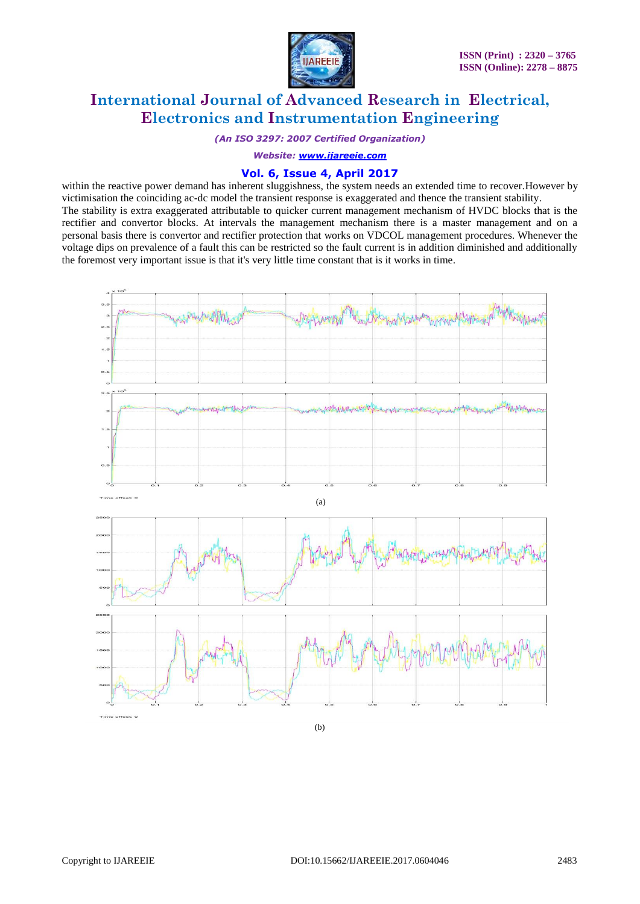

*(An ISO 3297: 2007 Certified Organization)*

*Website: [www.ijareeie.com](http://www.ijareeie.com/)*

#### **Vol. 6, Issue 4, April 2017**

within the reactive power demand has inherent sluggishness, the system needs an extended time to recover.However by victimisation the coinciding ac-dc model the transient response is exaggerated and thence the transient stability. The stability is extra exaggerated attributable to quicker current management mechanism of HVDC blocks that is the rectifier and convertor blocks. At intervals the management mechanism there is a master management and on a personal basis there is convertor and rectifier protection that works on VDCOL management procedures. Whenever the voltage dips on prevalence of a fault this can be restricted so the fault current is in addition diminished and additionally the foremost very important issue is that it's very little time constant that is it works in time.



(b)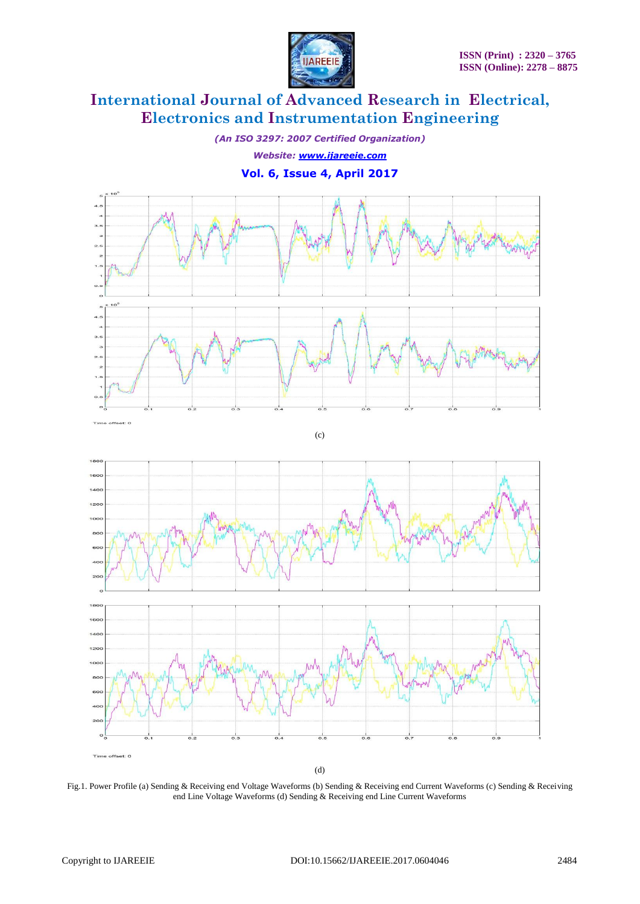

*(An ISO 3297: 2007 Certified Organization) Website: [www.ijareeie.com](http://www.ijareeie.com/)*

#### **Vol. 6, Issue 4, April 2017**



(c)



Fig.1. Power Profile (a) Sending & Receiving end Voltage Waveforms (b) Sending & Receiving end Current Waveforms (c) Sending & Receiving end Line Voltage Waveforms (d) Sending & Receiving end Line Current Waveforms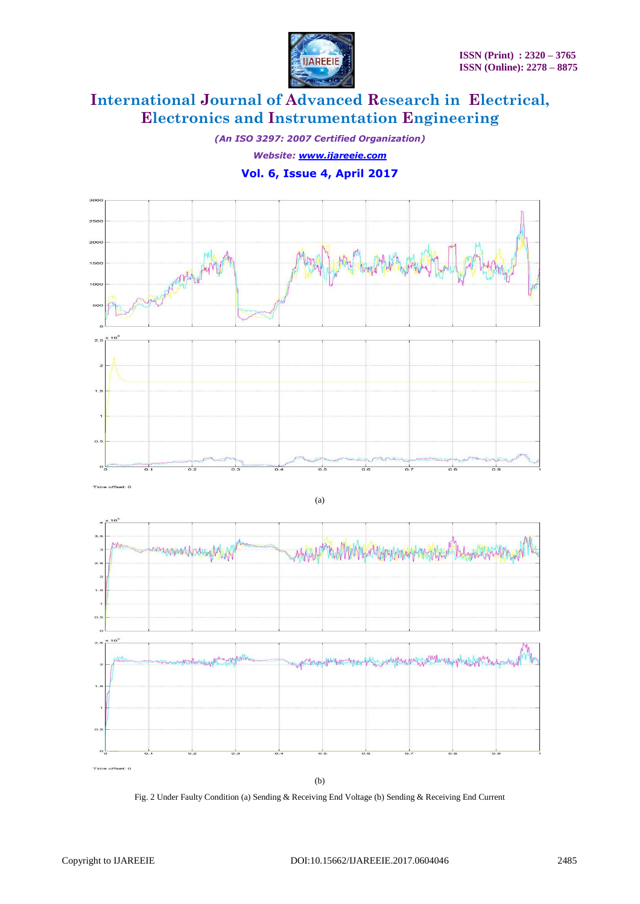

*(An ISO 3297: 2007 Certified Organization) Website: [www.ijareeie.com](http://www.ijareeie.com/)* **Vol. 6, Issue 4, April 2017**



Fig. 2 Under Faulty Condition (a) Sending & Receiving End Voltage (b) Sending & Receiving End Current